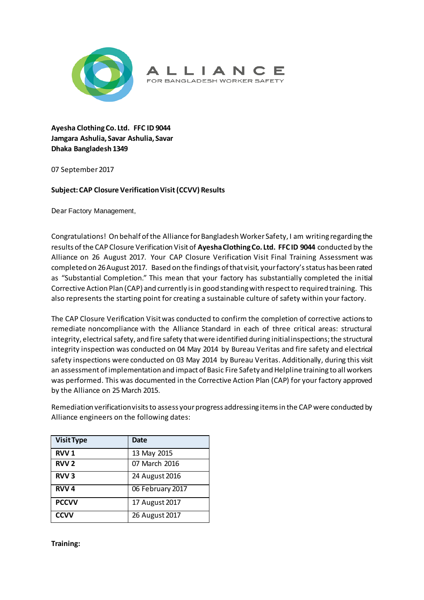



**Ayesha Clothing Co. Ltd. FFC ID 9044 Jamgara Ashulia, Savar Ashulia, Savar Dhaka Bangladesh 1349**

07 September 2017

## **Subject: CAP Closure Verification Visit(CCVV) Results**

Dear Factory Management,

Congratulations! On behalf of the Alliance for Bangladesh Worker Safety, I am writing regarding the results of the CAP Closure Verification Visit of **Ayesha Clothing Co. Ltd. FFC ID 9044** conducted by the Alliance on 26 August 2017. Your CAP Closure Verification Visit Final Training Assessment was completed on 26August 2017. Based on the findings of that visit, your factory's status has been rated as "Substantial Completion." This mean that your factory has substantially completed the initial Corrective Action Plan (CAP) and currently is in good standing with respect to required training. This also represents the starting point for creating a sustainable culture of safety within your factory.

The CAP Closure Verification Visit was conducted to confirm the completion of corrective actions to remediate noncompliance with the Alliance Standard in each of three critical areas: structural integrity, electrical safety, and fire safety that were identified during initial inspections; the structural integrity inspection was conducted on 04 May 2014 by Bureau Veritas and fire safety and electrical safety inspections were conducted on 03 May 2014 by Bureau Veritas. Additionally, during this visit an assessment of implementation and impact of Basic Fire Safety and Helpline training to all workers was performed. This was documented in the Corrective Action Plan (CAP) for your factory approved by the Alliance on 25 March 2015.

Remediation verification visits to assess your progress addressing items in the CAP were conducted by Alliance engineers on the following dates:

| <b>Visit Type</b>      | Date             |
|------------------------|------------------|
| RVV <sub>1</sub>       | 13 May 2015      |
| RVV <sub>2</sub>       | 07 March 2016    |
| <b>RVV<sub>3</sub></b> | 24 August 2016   |
| RVV <sub>4</sub>       | 06 February 2017 |
| <b>PCCVV</b>           | 17 August 2017   |
| <b>CCVV</b>            | 26 August 2017   |

**Training:**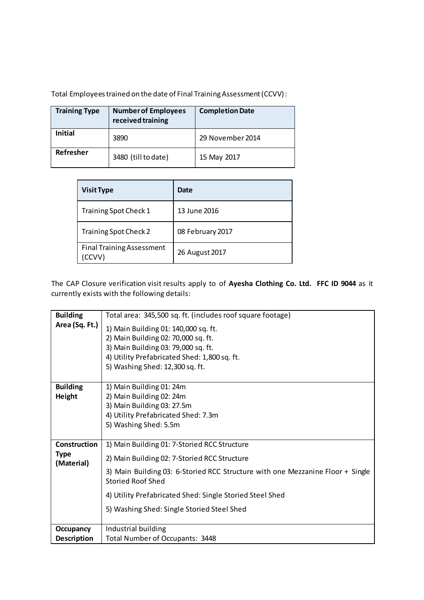Total Employees trained on the date of Final Training Assessment (CCVV):

| <b>Training Type</b> | <b>Number of Employees</b><br>received training | <b>Completion Date</b> |
|----------------------|-------------------------------------------------|------------------------|
| Initial              | 3890                                            | 29 November 2014       |
| Refresher            | 3480 (till to date)                             | 15 May 2017            |

| <b>Visit Type</b>                                | Date             |
|--------------------------------------------------|------------------|
| Training Spot Check 1                            | 13 June 2016     |
| Training Spot Check 2                            | 08 February 2017 |
| <b>Final Training Assessment</b><br><b>CCVV)</b> | 26 August 2017   |

The CAP Closure verification visit results apply to of **Ayesha Clothing Co. Ltd. FFC ID 9044** as it currently exists with the following details:

| <b>Building</b>           | Total area: 345,500 sq. ft. (includes roof square footage)                                                 |
|---------------------------|------------------------------------------------------------------------------------------------------------|
| Area (Sq. Ft.)            | 1) Main Building 01: 140,000 sq. ft.                                                                       |
|                           | 2) Main Building 02: 70,000 sq. ft.                                                                        |
|                           | 3) Main Building 03: 79,000 sq. ft.                                                                        |
|                           | 4) Utility Prefabricated Shed: 1,800 sq. ft.                                                               |
|                           | 5) Washing Shed: 12,300 sq. ft.                                                                            |
|                           |                                                                                                            |
| <b>Building</b>           | 1) Main Building 01: 24m                                                                                   |
| Height                    | 2) Main Building 02: 24m                                                                                   |
|                           | 3) Main Building 03: 27.5m                                                                                 |
|                           | 4) Utility Prefabricated Shed: 7.3m                                                                        |
|                           | 5) Washing Shed: 5.5m                                                                                      |
|                           |                                                                                                            |
| <b>Construction</b>       | 1) Main Building 01: 7-Storied RCC Structure                                                               |
| <b>Type</b><br>(Material) | 2) Main Building 02: 7-Storied RCC Structure                                                               |
|                           | 3) Main Building 03: 6-Storied RCC Structure with one Mezzanine Floor + Single<br><b>Storied Roof Shed</b> |
|                           | 4) Utility Prefabricated Shed: Single Storied Steel Shed                                                   |
|                           | 5) Washing Shed: Single Storied Steel Shed                                                                 |
| Occupancy                 | Industrial building                                                                                        |
| <b>Description</b>        | Total Number of Occupants: 3448                                                                            |